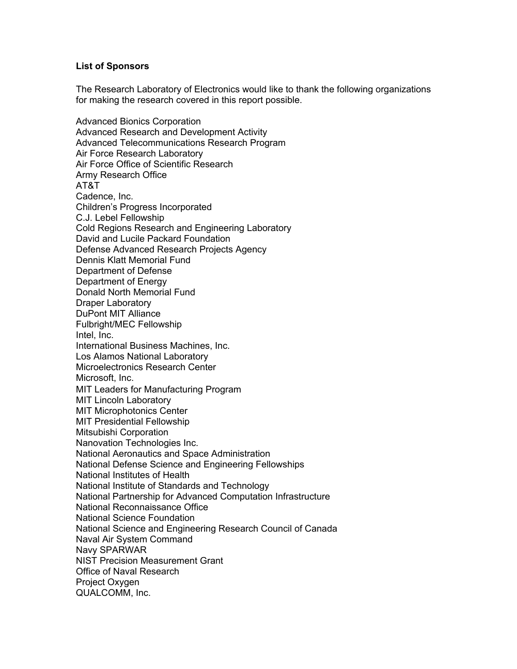## **List of Sponsors**

The Research Laboratory of Electronics would like to thank the following organizations for making the research covered in this report possible.

Advanced Bionics Corporation Advanced Research and Development Activity Advanced Telecommunications Research Program Air Force Research Laboratory Air Force Office of Scientific Research Army Research Office AT&T Cadence, Inc. Children's Progress Incorporated C.J. Lebel Fellowship Cold Regions Research and Engineering Laboratory David and Lucile Packard Foundation Defense Advanced Research Projects Agency Dennis Klatt Memorial Fund Department of Defense Department of Energy Donald North Memorial Fund Draper Laboratory DuPont MIT Alliance Fulbright/MEC Fellowship Intel, Inc. International Business Machines, Inc. Los Alamos National Laboratory Microelectronics Research Center Microsoft, Inc. MIT Leaders for Manufacturing Program MIT Lincoln Laboratory MIT Microphotonics Center MIT Presidential Fellowship Mitsubishi Corporation Nanovation Technologies Inc. National Aeronautics and Space Administration National Defense Science and Engineering Fellowships National Institutes of Health National Institute of Standards and Technology National Partnership for Advanced Computation Infrastructure National Reconnaissance Office National Science Foundation National Science and Engineering Research Council of Canada Naval Air System Command Navy SPARWAR NIST Precision Measurement Grant Office of Naval Research Project Oxygen QUALCOMM, Inc.